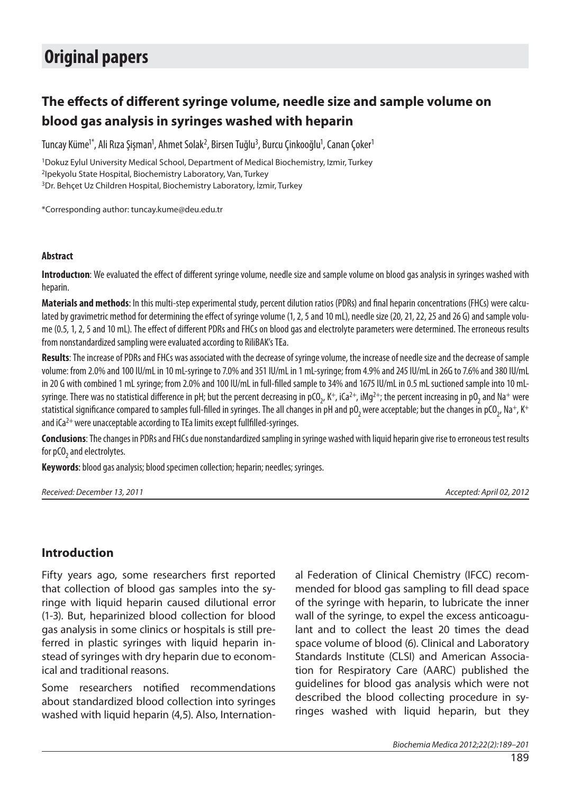# **Original papers**

# **The effects of different syringe volume, needle size and sample volume on blood gas analysis in syringes washed with heparin**

Tuncay Küme<sup>1\*</sup>, Ali Rıza Şişman<sup>1</sup>, Ahmet Solak<sup>2</sup>, Birsen Tuğlu<sup>3</sup>, Burcu Çinkooğlu<sup>1</sup>, Canan Çoker<sup>1</sup>

<sup>1</sup>Dokuz Eylul University Medical School, Department of Medical Biochemistry, Izmir, Turkey 2Ipekyolu State Hospital, Biochemistry Laboratory, Van, Turkey 3Dr. Behçet Uz Children Hospital, Biochemistry Laboratory, İzmir, Turkey

\*Corresponding author: tuncay.kume@deu.edu.tr

#### **Abstract**

**Introduction**: We evaluated the effect of different syringe volume, needle size and sample volume on blood gas analysis in syringes washed with heparin.

Materials and methods: In this multi-step experimental study, percent dilution ratios (PDRs) and final heparin concentrations (FHCs) were calculated by gravimetric method for determining the effect of syringe volume (1, 2, 5 and 10 mL), needle size (20, 21, 22, 25 and 26 G) and sample volume (0.5, 1, 2, 5 and 10 mL). The effect of different PDRs and FHCs on blood gas and electrolyte parameters were determined. The erroneous results from nonstandardized sampling were evaluated according to RiliBAK's TEa.

**Results**: The increase of PDRs and FHCs was associated with the decrease of syringe volume, the increase of needle size and the decrease of sample volume: from 2.0% and 100 IU/mL in 10 mL-syringe to 7.0% and 351 IU/mL in 1 mL-syringe; from 4.9% and 245 IU/mL in 26G to 7.6% and 380 IU/mL in 20 G with combined 1 mL syringe; from 2.0% and 100 IU/mL in full-filled sample to 34% and 1675 IU/mL in 0.5 mL suctioned sample into 10 mLsyringe. There was no statistical difference in pH; but the percent decreasing in pCO<sub>2</sub>, K<sup>+</sup>, iCa<sup>2+</sup>, iMg<sup>2+</sup>; the percent increasing in pO<sub>2</sub> and Na<sup>+</sup> were statistical significance compared to samples full-filled in syringes. The all changes in pH and pO<sub>2</sub> were acceptable; but the changes in pCO<sub>2</sub>, Na<sup>+</sup>, K<sup>+</sup> and  $iCa^{2+}$  were unacceptable according to TEa limits except fullfilled-syringes.

**Conclusions**: The changes in PDRs and FHCs due nonstandardized sampling in syringe washed with liquid heparin give rise to erroneous test results for pCO $_{\rm 2}$  and electrolytes.

**Keywords**: blood gas analysis; blood specimen collection; heparin; needles; syringes.

Received: December 13, 2011 **Accepted: April 02, 2012** Accepted: April 02, 2012

## **Introduction**

Fifty years ago, some researchers first reported that collection of blood gas samples into the syringe with liquid heparin caused dilutional error (1-3). But, heparinized blood collection for blood gas analysis in some clinics or hospitals is still preferred in plastic syringes with liquid heparin instead of syringes with dry heparin due to economical and traditional reasons.

Some researchers notified recommendations about standardized blood collection into syringes washed with liquid heparin (4,5). Also, International Federation of Clinical Chemistry (IFCC) recommended for blood gas sampling to fill dead space of the syringe with heparin, to lubricate the inner wall of the syringe, to expel the excess anticoagulant and to collect the least 20 times the dead space volume of blood (6). Clinical and Laboratory Standards Institute (CLSI) and American Association for Respiratory Care (AARC) published the guidelines for blood gas analysis which were not described the blood collecting procedure in syringes washed with liquid heparin, but they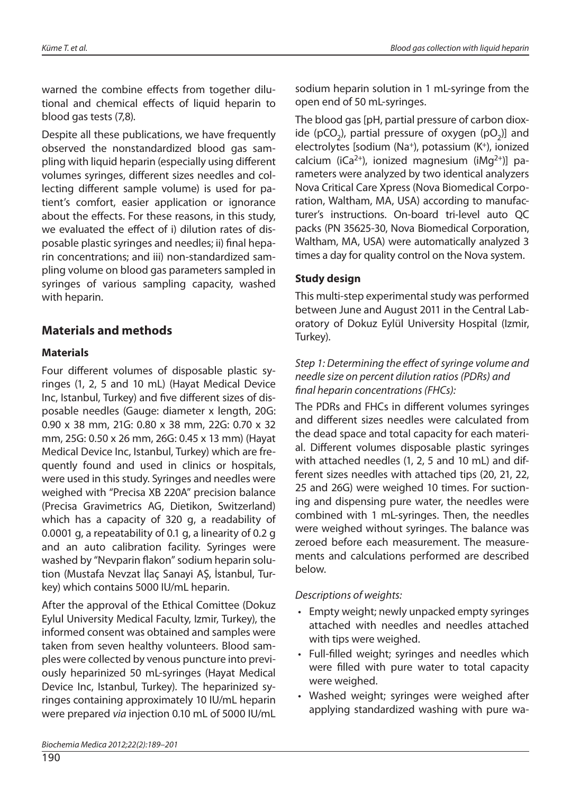warned the combine effects from together dilutional and chemical effects of liquid heparin to blood gas tests (7,8).

Despite all these publications, we have frequently observed the nonstandardized blood gas sampling with liquid heparin (especially using different volumes syringes, different sizes needles and collecting different sample volume) is used for patient's comfort, easier application or ignorance about the effects. For these reasons, in this study, we evaluated the effect of i) dilution rates of disposable plastic syringes and needles; ii) final heparin concentrations; and iii) non-standardized sampling volume on blood gas parameters sampled in syringes of various sampling capacity, washed with heparin.

## **Materials and methods**

## **Materials**

Four different volumes of disposable plastic syringes (1, 2, 5 and 10 mL) (Hayat Medical Device Inc, Istanbul, Turkey) and five different sizes of disposable needles (Gauge: diameter x length, 20G: 0.90 x 38 mm, 21G: 0.80 x 38 mm, 22G: 0.70 x 32 mm, 25G: 0.50 x 26 mm, 26G: 0.45 x 13 mm) (Hayat Medical Device Inc, Istanbul, Turkey) which are frequently found and used in clinics or hospitals, were used in this study. Syringes and needles were weighed with "Precisa XB 220A" precision balance (Precisa Gravimetrics AG, Dietikon, Switzerland) which has a capacity of 320 g, a readability of 0.0001 g, a repeatability of 0.1 g, a linearity of 0.2 g and an auto calibration facility. Syringes were washed by "Nevparin flakon" sodium heparin solution (Mustafa Nevzat İlaç Sanayi AŞ, İstanbul, Turkey) which contains 5000 IU/mL heparin.

After the approval of the Ethical Comittee (Dokuz Eylul University Medical Faculty, Izmir, Turkey), the informed consent was obtained and samples were taken from seven healthy volunteers. Blood samples were collected by venous puncture into previously heparinized 50 mL-syringes (Hayat Medical Device Inc, Istanbul, Turkey). The heparinized syringes containing approximately 10 IU/mL heparin were prepared via injection 0.10 mL of 5000 IU/mL The blood gas [pH, partial pressure of carbon dioxide ( $pCO<sub>2</sub>$ ), partial pressure of oxygen ( $pO<sub>2</sub>$ )] and electrolytes [sodium (Na+), potassium (K+), ionized calcium ( $iCa^{2+}$ ), ionized magnesium ( $iMa^{2+}$ )] parameters were analyzed by two identical analyzers Nova Critical Care Xpress (Nova Biomedical Corporation, Waltham, MA, USA) according to manufacturer's instructions. On-board tri-level auto QC packs (PN 35625-30, Nova Biomedical Corporation, Waltham, MA, USA) were automatically analyzed 3 times a day for quality control on the Nova system.

## **Study design**

This multi-step experimental study was performed between June and August 2011 in the Central Laboratory of Dokuz Eylül University Hospital (Izmir, Turkey).

## Step 1: Determining the effect of syringe volume and needle size on percent dilution ratios (PDRs) and final heparin concentrations (FHCs):

The PDRs and FHCs in different volumes syringes and different sizes needles were calculated from the dead space and total capacity for each material. Different volumes disposable plastic syringes with attached needles (1, 2, 5 and 10 mL) and different sizes needles with attached tips (20, 21, 22, 25 and 26G) were weighed 10 times. For suctioning and dispensing pure water, the needles were combined with 1 mL-syringes. Then, the needles were weighed without syringes. The balance was zeroed before each measurement. The measurements and calculations performed are described below.

## Descriptions of weights:

- Empty weight; newly unpacked empty syringes attached with needles and needles attached with tips were weighed.
- Full-filled weight; syringes and needles which were filled with pure water to total capacity were weighed.
- Washed weight; syringes were weighed after applying standardized washing with pure wa-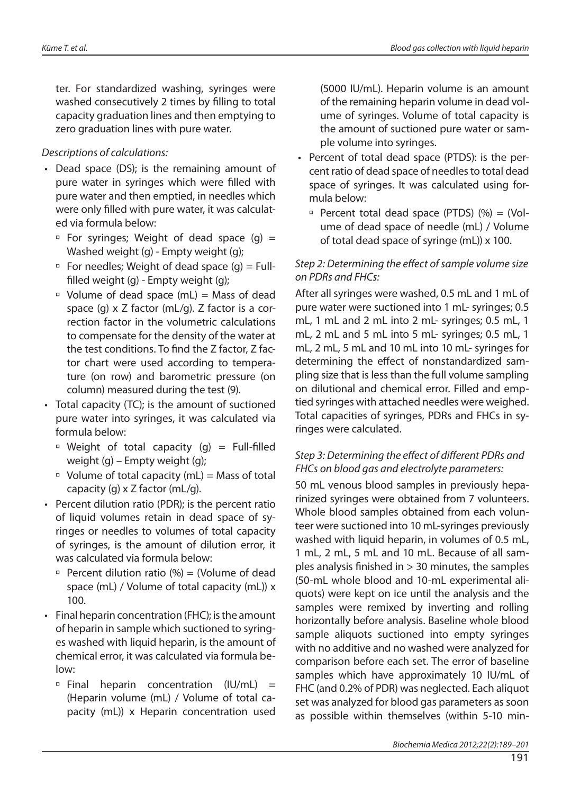ter. For standardized washing, syringes were washed consecutively 2 times by filling to total capacity graduation lines and then emptying to zero graduation lines with pure water.

#### Descriptions of calculations:

- Dead space (DS); is the remaining amount of pure water in syringes which were filled with pure water and then emptied, in needles which were only filled with pure water, it was calculated via formula below:
	- $\overline{P}$  For syringes; Weight of dead space (g) = Washed weight (g) - Empty weight (g);
	- $\overline{P}$  For needles; Weight of dead space (g) = Fullfilled weight  $(q)$  - Empty weight  $(q)$ ;
	- $\Box$  Volume of dead space (mL) = Mass of dead space (g) x Z factor (mL/g). Z factor is a correction factor in the volumetric calculations to compensate for the density of the water at the test conditions. To find the Z factor, Z factor chart were used according to temperature (on row) and barometric pressure (on column) measured during the test (9).
- Total capacity (TC); is the amount of suctioned pure water into syringes, it was calculated via formula below:
	- $\Box$  Weight of total capacity (g) = Full-filled weight (g) – Empty weight (g);
	- $\Box$  Volume of total capacity (mL) = Mass of total capacity  $(q) \times Z$  factor  $(mL/q)$ .
- Percent dilution ratio (PDR); is the percent ratio of liquid volumes retain in dead space of syringes or needles to volumes of total capacity of syringes, is the amount of dilution error, it was calculated via formula below:
	- $\Box$  Percent dilution ratio (%) = (Volume of dead space (mL) / Volume of total capacity (mL)) x 100.
- Final heparin concentration (FHC); is the amount of heparin in sample which suctioned to syringes washed with liquid heparin, is the amount of chemical error, it was calculated via formula below:
	- $\overline{P}$  Final heparin concentration (IU/mL) = (Heparin volume (mL) / Volume of total capacity (mL)) x Heparin concentration used

(5000 IU/mL). Heparin volume is an amount of the remaining heparin volume in dead volume of syringes. Volume of total capacity is the amount of suctioned pure water or sample volume into syringes.

- Percent of total dead space (PTDS): is the percent ratio of dead space of needles to total dead space of syringes. It was calculated using formula below:
	- Percent total dead space (PTDS)  $%$  ( $%$ ) = (Volume of dead space of needle (mL) / Volume of total dead space of syringe (mL)) x 100.

#### Step 2: Determining the effect of sample volume size on PDRs and FHCs:

After all syringes were washed, 0.5 mL and 1 mL of pure water were suctioned into 1 mL- syringes; 0.5 mL, 1 mL and 2 mL into 2 mL- syringes; 0.5 mL, 1 mL, 2 mL and 5 mL into 5 mL- syringes; 0.5 mL, 1 mL, 2 mL, 5 mL and 10 mL into 10 mL- syringes for determining the effect of nonstandardized sampling size that is less than the full volume sampling on dilutional and chemical error. Filled and emptied syringes with attached needles were weighed. Total capacities of syringes, PDRs and FHCs in syringes were calculated.

#### Step 3: Determining the effect of different PDRs and FHCs on blood gas and electrolyte parameters:

50 mL venous blood samples in previously heparinized syringes were obtained from 7 volunteers. Whole blood samples obtained from each volunteer were suctioned into 10 mL-syringes previously washed with liquid heparin, in volumes of 0.5 mL, 1 mL, 2 mL, 5 mL and 10 mL. Because of all samples analysis finished in  $> 30$  minutes, the samples (50-mL whole blood and 10-mL experimental aliquots) were kept on ice until the analysis and the samples were remixed by inverting and rolling horizontally before analysis. Baseline whole blood sample aliquots suctioned into empty syringes with no additive and no washed were analyzed for comparison before each set. The error of baseline samples which have approximately 10 IU/mL of FHC (and 0.2% of PDR) was neglected. Each aliquot set was analyzed for blood gas parameters as soon as possible within themselves (within 5-10 min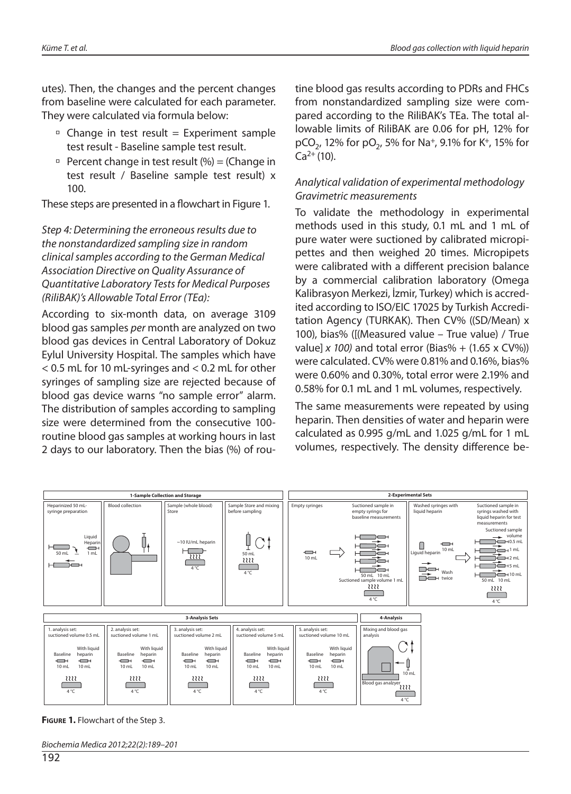utes). Then, the changes and the percent changes from baseline were calculated for each parameter. They were calculated via formula below:

- $\overline{P}$  Change in test result = Experiment sample test result - Baseline sample test result.
- Percent change in test result  $(\%)$  = (Change in test result / Baseline sample test result) x 100.

These steps are presented in a flowchart in Figure 1.

Step 4: Determining the erroneous results due to the nonstandardized sampling size in random clinical samples according to the German Medical Association Directive on Quality Assurance of Quantitative Laboratory Tests for Medical Purposes (RiliBAK)'s Allowable Total Error (TEa):

According to six-month data, on average 3109 blood gas samples per month are analyzed on two blood gas devices in Central Laboratory of Dokuz Eylul University Hospital. The samples which have < 0.5 mL for 10 mL-syringes and < 0.2 mL for other syringes of sampling size are rejected because of blood gas device warns "no sample error" alarm. The distribution of samples according to sampling size were determined from the consecutive 100 routine blood gas samples at working hours in last 2 days to our laboratory. Then the bias (%) of routine blood gas results according to PDRs and FHCs from nonstandardized sampling size were compared according to the RiliBAK's TEa. The total allowable limits of RiliBAK are 0.06 for pH, 12% for pCO<sub>2</sub>, 12% for pO<sub>2</sub>, 5% for Na<sup>+</sup>, 9.1% for K<sup>+</sup>, 15% for  $Ca^{2+}(10)$ .

#### Analytical validation of experimental methodology Gravimetric measurements

To validate the methodology in experimental methods used in this study, 0.1 mL and 1 mL of pure water were suctioned by calibrated micropipettes and then weighed 20 times. Micropipets were calibrated with a different precision balance by a commercial calibration laboratory (Omega Kalibrasyon Merkezi, İzmir, Turkey) which is accredited according to ISO/EIC 17025 by Turkish Accreditation Agency (TURKAK). Then CV% ((SD/Mean) x 100), bias% ([(Measured value – True value) / True value] x 100) and total error (Bias% +  $(1.65 \times CV\%)$ ) were calculated. CV% were 0.81% and 0.16%, bias% were 0.60% and 0.30%, total error were 2.19% and 0.58% for 0.1 mL and 1 mL volumes, respectively.

The same measurements were repeated by using heparin. Then densities of water and heparin were calculated as 0.995 g/mL and 1.025 g/mL for 1 mL volumes, respectively. The density difference be-



**FIGURE 1.** Flowchart of the Step 3.

Biochemia Medica 2012;22(2):189–201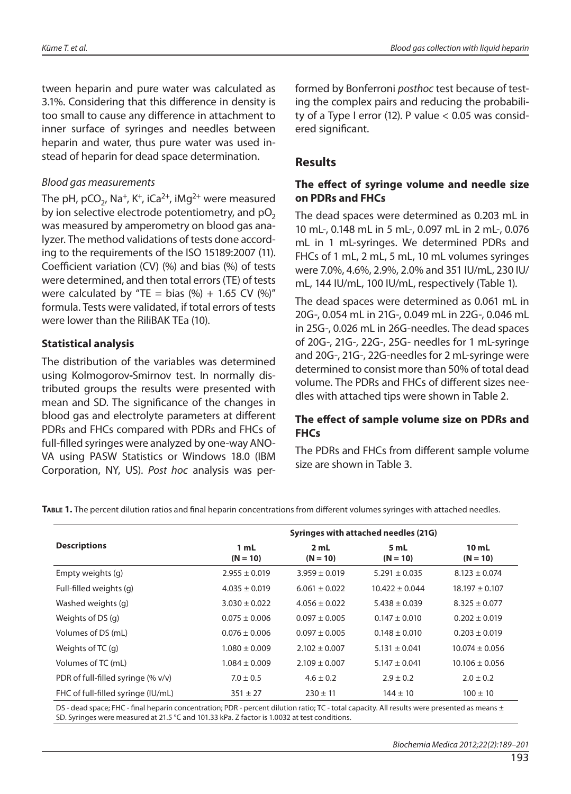tween heparin and pure water was calculated as 3.1%. Considering that this difference in density is too small to cause any difference in attachment to inner surface of syringes and needles between heparin and water, thus pure water was used instead of heparin for dead space determination.

#### Blood gas measurements

The pH, pCO<sub>2</sub>, Na<sup>+</sup>, K<sup>+</sup>, iCa<sup>2+</sup>, iMg<sup>2+</sup> were measured by ion selective electrode potentiometry, and  $pO<sub>2</sub>$ was measured by amperometry on blood gas analyzer. The method validations of tests done according to the requirements of the ISO 15189:2007 (11). Coefficient variation (CV)  $(%)$  and bias  $(%)$  of tests were determined, and then total errors (TE) of tests were calculated by "TE = bias  $(\%) + 1.65$  CV  $(\%)$ " formula. Tests were validated, if total errors of tests were lower than the RiliBAK TEa (10).

#### **Statistical analysis**

The distribution of the variables was determined using Kolmogorov**-**Smirnov test. In normally distributed groups the results were presented with mean and SD. The significance of the changes in blood gas and electrolyte parameters at different PDRs and FHCs compared with PDRs and FHCs of full-filled syringes were analyzed by one-way ANO-VA using PASW Statistics or Windows 18.0 (IBM Corporation, NY, US). Post hoc analysis was performed by Bonferroni posthoc test because of testing the complex pairs and reducing the probability of a Type I error (12). P value  $< 0.05$  was considered significant.

## **Results**

#### **The effect of syringe volume and needle size on PDRs and FHCs**

The dead spaces were determined as 0.203 mL in 10 mL-, 0.148 mL in 5 mL-, 0.097 mL in 2 mL-, 0.076 mL in 1 mL-syringes. We determined PDRs and FHCs of 1 mL, 2 mL, 5 mL, 10 mL volumes syringes were 7.0%, 4.6%, 2.9%, 2.0% and 351 IU/mL, 230 IU/ mL, 144 IU/mL, 100 IU/mL, respectively (Table 1).

The dead spaces were determined as 0.061 mL in 20G-, 0.054 mL in 21G-, 0.049 mL in 22G-, 0.046 mL in 25G-, 0.026 mL in 26G-needles. The dead spaces of 20G-, 21G-, 22G-, 25G- needles for 1 mL-syringe and 20G-, 21G-, 22G-needles for 2 mL-syringe were determined to consist more than 50% of total dead volume. The PDRs and FHCs of different sizes needles with attached tips were shown in Table 2.

#### The effect of sample volume size on PDRs and **FHCs**

The PDRs and FHCs from different sample volume size are shown in Table 3.

TABLE 1. The percent dilution ratios and final heparin concentrations from different volumes syringes with attached needles.

|                                       | Syringes with attached needles (21G) |                    |                    |                                |  |  |  |  |  |  |
|---------------------------------------|--------------------------------------|--------------------|--------------------|--------------------------------|--|--|--|--|--|--|
| <b>Descriptions</b>                   | 1 mL<br>$(N = 10)$                   | 2 mL<br>$(N = 10)$ | 5 mL<br>$(N = 10)$ | 10 <sub>mL</sub><br>$(N = 10)$ |  |  |  |  |  |  |
| Empty weights (g)                     | $2.955 \pm 0.019$                    | $3.959 \pm 0.019$  | $5.291 \pm 0.035$  | $8.123 \pm 0.074$              |  |  |  |  |  |  |
| Full-filled weights (g)               | $4.035 \pm 0.019$                    | $6.061 \pm 0.022$  | $10.422 \pm 0.044$ | $18.197 \pm 0.107$             |  |  |  |  |  |  |
| Washed weights (g)                    | $3.030 \pm 0.022$                    | $4.056 \pm 0.022$  | $5.438 \pm 0.039$  | $8.325 \pm 0.077$              |  |  |  |  |  |  |
| Weights of DS (g)                     | $0.075 \pm 0.006$                    | $0.097 \pm 0.005$  | $0.147 \pm 0.010$  | $0.202 \pm 0.019$              |  |  |  |  |  |  |
| Volumes of DS (mL)                    | $0.076 \pm 0.006$                    | $0.097 \pm 0.005$  | $0.148 \pm 0.010$  | $0.203 \pm 0.019$              |  |  |  |  |  |  |
| Weights of TC (g)                     | $1.080 \pm 0.009$                    | $2.102 \pm 0.007$  | $5.131 \pm 0.041$  | $10.074 \pm 0.056$             |  |  |  |  |  |  |
| Volumes of TC (mL)                    | $1.084 \pm 0.009$                    | $2.109 \pm 0.007$  | $5.147 \pm 0.041$  | $10.106 \pm 0.056$             |  |  |  |  |  |  |
| PDR of full-filled syringe $(\% v/v)$ | $7.0 \pm 0.5$                        | $4.6 \pm 0.2$      | $2.9 \pm 0.2$      | $2.0 \pm 0.2$                  |  |  |  |  |  |  |
| FHC of full-filled syringe (IU/mL)    | $351 \pm 27$                         | $230 \pm 11$       | $144 \pm 10$       | $100 \pm 10$                   |  |  |  |  |  |  |

DS - dead space; FHC - final heparin concentration; PDR - percent dilution ratio; TC - total capacity. All results were presented as means ± SD. Syringes were measured at 21.5 °C and 101.33 kPa. Z factor is 1.0032 at test conditions.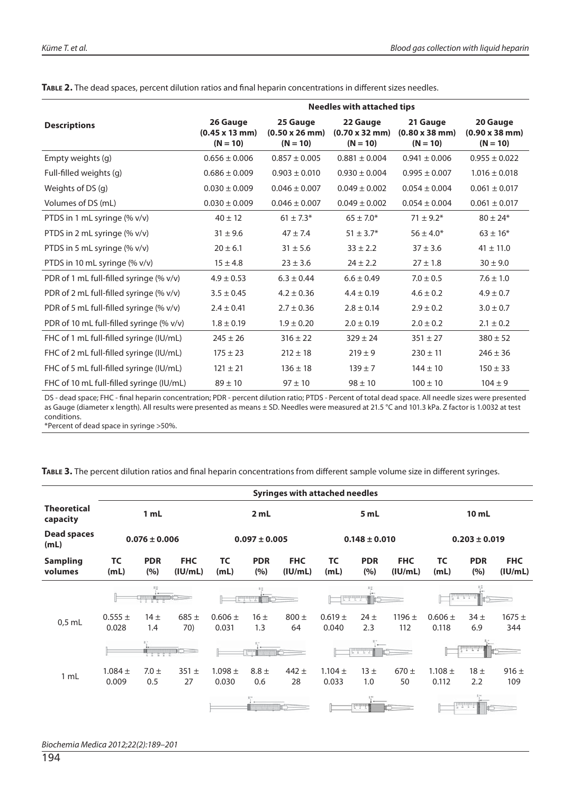|                                          | <b>Needles with attached tips</b>                       |                                                         |                                                         |                                                         |                                                         |  |  |  |  |  |  |  |
|------------------------------------------|---------------------------------------------------------|---------------------------------------------------------|---------------------------------------------------------|---------------------------------------------------------|---------------------------------------------------------|--|--|--|--|--|--|--|
| <b>Descriptions</b>                      | 26 Gauge<br>$(0.45 \times 13 \text{ mm})$<br>$(N = 10)$ | 25 Gauge<br>$(0.50 \times 26 \text{ mm})$<br>$(N = 10)$ | 22 Gauge<br>$(0.70 \times 32 \text{ mm})$<br>$(N = 10)$ | 21 Gauge<br>$(0.80 \times 38 \text{ mm})$<br>$(N = 10)$ | 20 Gauge<br>$(0.90 \times 38 \text{ mm})$<br>$(N = 10)$ |  |  |  |  |  |  |  |
| Empty weights (g)                        | $0.656 \pm 0.006$                                       | $0.857 \pm 0.005$                                       | $0.881 \pm 0.004$                                       | $0.941 \pm 0.006$                                       | $0.955 \pm 0.022$                                       |  |  |  |  |  |  |  |
| Full-filled weights (g)                  | $0.686 \pm 0.009$                                       | $0.903 \pm 0.010$                                       | $0.930 \pm 0.004$                                       | $0.995 \pm 0.007$                                       | $1.016 \pm 0.018$                                       |  |  |  |  |  |  |  |
| Weights of DS (g)                        | $0.030 \pm 0.009$                                       | $0.046 \pm 0.007$                                       | $0.049 \pm 0.002$                                       | $0.054 \pm 0.004$                                       | $0.061 \pm 0.017$                                       |  |  |  |  |  |  |  |
| Volumes of DS (mL)                       | $0.030 \pm 0.009$                                       | $0.046 \pm 0.007$                                       | $0.049 \pm 0.002$                                       | $0.054 \pm 0.004$                                       | $0.061 \pm 0.017$                                       |  |  |  |  |  |  |  |
| PTDS in 1 mL syringe (% v/v)             | $40 \pm 12$                                             | $61 \pm 7.3*$                                           | $65 \pm 7.0*$                                           | $71 \pm 9.2^*$                                          | $80 \pm 24*$                                            |  |  |  |  |  |  |  |
| PTDS in 2 mL syringe (% v/v)             | $31 \pm 9.6$                                            | $47 \pm 7.4$                                            | $51 \pm 3.7^*$                                          | $56 \pm 4.0*$                                           | $63 \pm 16*$                                            |  |  |  |  |  |  |  |
| PTDS in 5 mL syringe (% v/v)             | $20 \pm 6.1$                                            | $31 \pm 5.6$                                            | $33 \pm 2.2$                                            | $37 \pm 3.6$                                            | $41 \pm 11.0$                                           |  |  |  |  |  |  |  |
| PTDS in 10 mL syringe (% v/v)            | $15 \pm 4.8$                                            | $23 \pm 3.6$                                            | $24 \pm 2.2$                                            | $27 \pm 1.8$                                            | $30 \pm 9.0$                                            |  |  |  |  |  |  |  |
| PDR of 1 mL full-filled syringe (% v/v)  | $4.9 \pm 0.53$                                          | $6.3 \pm 0.44$                                          | $6.6 \pm 0.49$                                          | $7.0 \pm 0.5$                                           | $7.6 \pm 1.0$                                           |  |  |  |  |  |  |  |
| PDR of 2 mL full-filled syringe (% v/v)  | $3.5 \pm 0.45$                                          | $4.2 \pm 0.36$                                          | $4.4 \pm 0.19$                                          | $4.6 \pm 0.2$                                           | $4.9 \pm 0.7$                                           |  |  |  |  |  |  |  |
| PDR of 5 mL full-filled syringe (% v/v)  | $2.4 \pm 0.41$                                          | $2.7 \pm 0.36$                                          | $2.8 \pm 0.14$                                          | $2.9 \pm 0.2$                                           | $3.0 \pm 0.7$                                           |  |  |  |  |  |  |  |
| PDR of 10 mL full-filled syringe (% v/v) | $1.8 \pm 0.19$                                          | $1.9 \pm 0.20$                                          | $2.0 \pm 0.19$                                          | $2.0 \pm 0.2$                                           | $2.1 \pm 0.2$                                           |  |  |  |  |  |  |  |
| FHC of 1 mL full-filled syringe (IU/mL)  | $245 \pm 26$                                            | $316 \pm 22$                                            | $329 \pm 24$                                            | $351 \pm 27$                                            | $380 \pm 52$                                            |  |  |  |  |  |  |  |
| FHC of 2 mL full-filled syringe (IU/mL)  | $175 \pm 23$                                            | $212 \pm 18$                                            | $219 \pm 9$                                             | $230 \pm 11$                                            | $246 \pm 36$                                            |  |  |  |  |  |  |  |
| FHC of 5 mL full-filled syringe (IU/mL)  | $121 \pm 21$                                            | $136 \pm 18$                                            | $139 \pm 7$                                             | $144 \pm 10$                                            | $150 \pm 33$                                            |  |  |  |  |  |  |  |
| FHC of 10 mL full-filled syringe (IU/mL) | $89 \pm 10$                                             | $97 \pm 10$                                             | $98 \pm 10$                                             | $100 \pm 10$                                            | $104 \pm 9$                                             |  |  |  |  |  |  |  |

TABLE 2. The dead spaces, percent dilution ratios and final heparin concentrations in different sizes needles.

DS - dead space; FHC - final heparin concentration; PDR - percent dilution ratio; PTDS - Percent of total dead space. All needle sizes were presented as Gauge (diameter x length). All results were presented as means ± SD. Needles were measured at 21.5 °C and 101.3 kPa. Z factor is 1.0032 at test conditions.

\*Percent of dead space in syringe >50%.

TABLE 3. The percent dilution ratios and final heparin concentrations from different sample volume size in different syringes.

|                                | <b>Syringes with attached needles</b>                           |                |                   |                              |                       |                   |                      |                       |                   |                      |                        |                   |  |
|--------------------------------|-----------------------------------------------------------------|----------------|-------------------|------------------------------|-----------------------|-------------------|----------------------|-----------------------|-------------------|----------------------|------------------------|-------------------|--|
| <b>Theoretical</b><br>capacity | 1 mL                                                            |                |                   |                              | 2 mL                  |                   |                      | 5 mL                  |                   | 10 <sub>mL</sub>     |                        |                   |  |
| <b>Dead spaces</b><br>(mL)     | $0.076 \pm 0.006$                                               |                |                   | $0.097 \pm 0.005$            |                       |                   | $0.148 \pm 0.010$    |                       |                   | $0.203 \pm 0.019$    |                        |                   |  |
| <b>Sampling</b><br>volumes     | <b>TC</b><br><b>FHC</b><br><b>PDR</b><br>(%)<br>(mL)<br>(IU/mL) |                | <b>TC</b><br>(mL) | <b>PDR</b><br>(%)            | <b>FHC</b><br>(IU/mL) | <b>TC</b><br>(mL) | <b>PDR</b><br>(%)    | <b>FHC</b><br>(IU/mL) | <b>TC</b><br>(mL) | <b>PDR</b><br>(%)    | <b>FHC</b><br>(IU/mL)  |                   |  |
|                                | $\frac{1}{2}$                                                   |                |                   | 昭<br><b>Industrial</b><br>me |                       |                   | ï.                   |                       |                   |                      |                        |                   |  |
| $0.5$ mL                       | $0.555 \pm$<br>0.028                                            | 14±<br>1.4     | $685 \pm$<br>70)  | $0.606 \pm$<br>0.031         | 16±<br>1.3            | $800 \pm$<br>64   | $0.619 +$<br>0.040   | $24 \pm$<br>2.3       | $1196 \pm$<br>112 | $0.606 \pm$<br>0.118 | 34 <sub>±</sub><br>6.9 | $1675 \pm$<br>344 |  |
|                                |                                                                 |                |                   |                              | $\mathbb{R}^n$        |                   |                      | <sup>*7</sup> •—      |                   |                      |                        |                   |  |
| 1 mL                           | $1.084 \pm$<br>0.009                                            | $7.0 +$<br>0.5 | $351 +$<br>27     | $1.098 \pm$<br>0.030         | $8.8 +$<br>0.6        | $442 +$<br>28     | $1.104 \pm$<br>0.033 | 13±<br>1.0            | $670 +$<br>50     | $1.108 \pm$<br>0.112 | 18±<br>2.2             | $916 \pm$<br>109  |  |
|                                |                                                                 |                |                   |                              |                       |                   |                      | <u>fmindi</u>         |                   |                      | بأساسة                 |                   |  |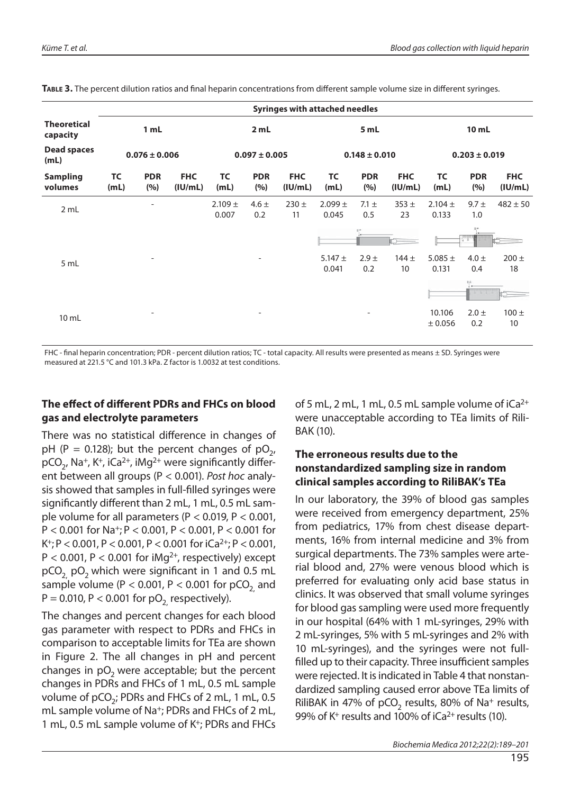|                                |                   |                          |                       |                      |                          | <b>Syringes with attached needles</b> |                      |                          |                       |                      |                   |                       |  |
|--------------------------------|-------------------|--------------------------|-----------------------|----------------------|--------------------------|---------------------------------------|----------------------|--------------------------|-----------------------|----------------------|-------------------|-----------------------|--|
| <b>Theoretical</b><br>capacity | 1 mL              |                          |                       |                      | 2 mL                     |                                       |                      | 5 mL                     |                       | 10 mL                |                   |                       |  |
| <b>Dead spaces</b><br>(mL)     | $0.076 \pm 0.006$ |                          |                       | $0.097 \pm 0.005$    |                          |                                       | $0.148 \pm 0.010$    |                          |                       | $0.203 \pm 0.019$    |                   |                       |  |
| <b>Sampling</b><br>volumes     | <b>TC</b><br>(mL) | <b>PDR</b><br>(%)        | <b>FHC</b><br>(IU/mL) | <b>TC</b><br>(mL)    | <b>PDR</b><br>(%)        | <b>FHC</b><br>(IU/mL)                 | <b>TC</b><br>(mL)    | <b>PDR</b><br>(%)        | <b>FHC</b><br>(IU/mL) | <b>TC</b><br>(mL)    | <b>PDR</b><br>(%) | <b>FHC</b><br>(IU/mL) |  |
| 2 mL                           |                   | $\overline{\phantom{a}}$ |                       | $2.109 \pm$<br>0.007 | $4.6 \pm$<br>0.2         | $230 +$<br>11                         | $2.099 \pm$<br>0.045 | $7.1 \pm$<br>0.5         | $353 +$<br>23         | $2.104 \pm$<br>0.133 | $9.7 +$<br>1.0    | $482 \pm 50$          |  |
|                                |                   |                          |                       |                      |                          |                                       |                      |                          |                       |                      |                   |                       |  |
| 5 mL                           |                   | $\overline{a}$           |                       |                      | $\overline{\phantom{0}}$ |                                       | $5.147 \pm$<br>0.041 | $2.9 \pm$<br>0.2         | $144 +$<br>10         | 5.085 $\pm$<br>0.131 | $4.0 \pm$<br>0.4  | $200 \pm$<br>18       |  |
|                                |                   |                          |                       |                      |                          |                                       |                      |                          |                       |                      |                   |                       |  |
| $10$ mL                        |                   | $\overline{\phantom{a}}$ |                       |                      | $\overline{\phantom{a}}$ |                                       |                      | $\overline{\phantom{a}}$ |                       | 10.106<br>± 0.056    | $2.0 \pm$<br>0.2  | $100 +$<br>10         |  |

TABLE 3. The percent dilution ratios and final heparin concentrations from different sample volume size in different syringes.

FHC - final heparin concentration; PDR - percent dilution ratios; TC - total capacity. All results were presented as means ± SD. Syringes were measured at 221.5 °C and 101.3 kPa. Z factor is 1.0032 at test conditions.

#### **The effect of different PDRs and FHCs on blood gas and electrolyte parameters**

There was no statistical difference in changes of pH (P = 0.128); but the percent changes of  $pO<sub>2</sub>$ ,  $pCO<sub>2</sub>$ , Na<sup>+</sup>, K<sup>+</sup>, iCa<sup>2+</sup>, iMg<sup>2+</sup> were significantly different between all groups (P < 0.001). Post hoc analysis showed that samples in full-filled syringes were significantly different than 2 mL, 1 mL, 0.5 mL sample volume for all parameters ( $P < 0.019$ ,  $P < 0.001$ ,  $P < 0.001$  for Na<sup>+</sup>; P < 0.001, P < 0.001, P < 0.001 for K<sup>+</sup>; P < 0.001, P < 0.001, P < 0.001 for  $iCa^{2+}$ ; P < 0.001,  $P < 0.001$ ,  $P < 0.001$  for iMg<sup>2+</sup>, respectively) except  $pCO<sub>2</sub>$  pO<sub>2</sub> which were significant in 1 and 0.5 mL sample volume ( $P < 0.001$ ,  $P < 0.001$  for pCO<sub>2</sub> and  $P = 0.010$ ,  $P < 0.001$  for  $pO<sub>2</sub>$  respectively).

The changes and percent changes for each blood gas parameter with respect to PDRs and FHCs in comparison to acceptable limits for TEa are shown in Figure 2. The all changes in pH and percent changes in  $pO<sub>2</sub>$  were acceptable; but the percent changes in PDRs and FHCs of 1 mL, 0.5 mL sample volume of pCO<sub>2</sub>; PDRs and FHCs of 2 mL, 1 mL, 0.5 mL sample volume of Na<sup>+</sup>; PDRs and FHCs of 2 mL, 1 mL, 0.5 mL sample volume of K+; PDRs and FHCs of 5 mL, 2 mL, 1 mL, 0.5 mL sample volume of  $iCa^{2+}$ were unacceptable according to TEa limits of Rili-BAK (10).

#### **The erroneous results due to the nonstandardized sampling size in random clinical samples according to RiliBAK's TEa**

In our laboratory, the 39% of blood gas samples were received from emergency department, 25% from pediatrics, 17% from chest disease departments, 16% from internal medicine and 3% from surgical departments. The 73% samples were arterial blood and, 27% were venous blood which is preferred for evaluating only acid base status in clinics. It was observed that small volume syringes for blood gas sampling were used more frequently in our hospital (64% with 1 mL-syringes, 29% with 2 mL-syringes, 5% with 5 mL-syringes and 2% with 10 mL-syringes), and the syringes were not fullfilled up to their capacity. Three insufficient samples were rejected. It is indicated in Table 4 that nonstandardized sampling caused error above TEa limits of RiliBAK in 47% of pCO<sub>2</sub> results, 80% of Na<sup>+</sup> results, 99% of  $K^+$  results and 100% of  $iCa^{2+}$  results (10).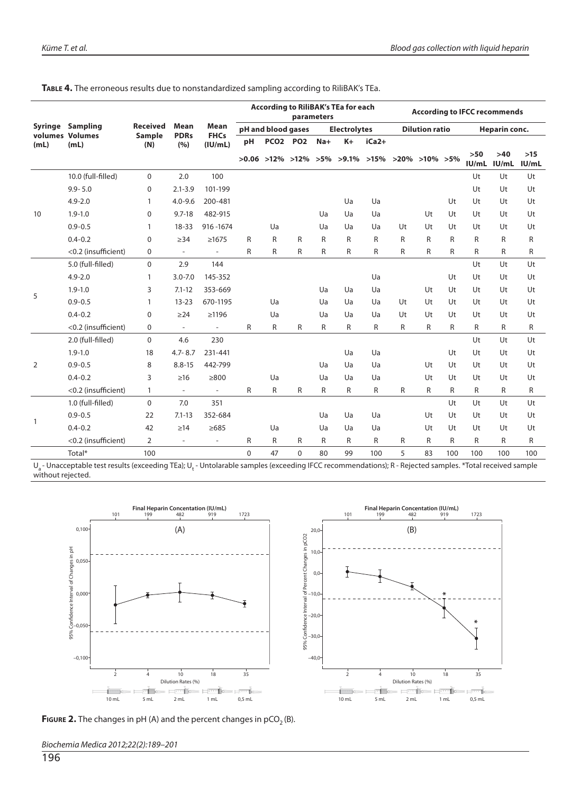**TABLE 4.** The erroneous results due to nonstandardized sampling according to RiliBAK's TEa.

|              |                                            |                 |                            |                          | <b>According to RiliBAK's TEa for each</b><br>parameters |                 |          |                     |                                                                        |       |                       | <b>According to IFCC recommends</b> |              |                |                |                |  |
|--------------|--------------------------------------------|-----------------|----------------------------|--------------------------|----------------------------------------------------------|-----------------|----------|---------------------|------------------------------------------------------------------------|-------|-----------------------|-------------------------------------|--------------|----------------|----------------|----------------|--|
|              | <b>Syringe Sampling</b><br>volumes Volumes | <b>Received</b> | <b>Mean</b><br><b>PDRs</b> | Mean<br><b>FHCs</b>      | pH and blood gases                                       |                 |          | <b>Electrolytes</b> |                                                                        |       | <b>Dilution ratio</b> |                                     |              | Heparin conc.  |                |                |  |
| (mL)         | (mL)                                       | Sample<br>(N)   | (%)                        | (IU/mL)                  | рH                                                       | <b>PCO2 PO2</b> |          | $Na+$               | $K+$                                                                   | iCa2+ |                       |                                     |              |                |                |                |  |
|              |                                            |                 |                            |                          |                                                          |                 |          |                     | $>0.06$ $>12\%$ $>12\%$ $>5\%$ $>9.1\%$ $>15\%$ $>20\%$ $>10\%$ $>5\%$ |       |                       |                                     |              | $>50$<br>IU/mL | $>40$<br>IU/mL | $>15$<br>IU/mL |  |
|              | 10.0 (full-filled)                         | 0               | 2.0                        | 100                      |                                                          |                 |          |                     |                                                                        |       |                       |                                     |              | Ut             | Ut             | Ut             |  |
|              | $9.9 - 5.0$                                | 0               | $2.1 - 3.9$                | 101-199                  |                                                          |                 |          |                     |                                                                        |       |                       |                                     |              | Ut             | Ut             | Ut             |  |
|              | $4.9 - 2.0$                                | 1               | $4.0 - 9.6$                | 200-481                  |                                                          |                 |          |                     | Ua                                                                     | Ua    |                       |                                     | Ut           | Ut             | Ut             | Ut             |  |
| 10           | $1.9 - 1.0$                                | 0               | $9.7 - 18$                 | 482-915                  |                                                          |                 |          | Ua                  | Ua                                                                     | Ua    |                       | Ut                                  | Ut           | Ut             | Ut             | Ut             |  |
|              | $0.9 - 0.5$                                | 1               | $18 - 33$                  | 916-1674                 |                                                          | Ua              |          | Ua                  | Ua                                                                     | Ua    | Ut                    | Ut                                  | Ut           | Ut             | Ut             | Ut             |  |
|              | $0.4 - 0.2$                                | 0               | $\geq$ 34                  | $\geq 1675$              | R                                                        | R               | R        | $\mathsf{R}$        | R                                                                      | R     | $\mathsf{R}$          | R                                   | R            | R              | R              | R              |  |
|              | <0.2 (insufficient)                        | $\Omega$        | $\overline{\phantom{a}}$   | $\overline{\phantom{a}}$ | R                                                        | R               | R        | R                   | R                                                                      | R     | R                     | R                                   | R            | R              | R              | R              |  |
|              | 5.0 (full-filled)                          | 0               | 2.9                        | 144                      |                                                          |                 |          |                     |                                                                        |       |                       |                                     |              | Ut             | Ut             | Ut             |  |
|              | $4.9 - 2.0$                                | $\mathbf{1}$    | $3.0 - 7.0$                | 145-352                  |                                                          |                 |          |                     |                                                                        | Ua    |                       |                                     | Ut           | Ut             | Ut             | Ut             |  |
| 5            | $1.9 - 1.0$                                | 3               | $7.1 - 12$                 | 353-669                  |                                                          |                 |          | Ua                  | Ua                                                                     | Ua    |                       | Ut                                  | Ut           | Ut             | Ut             | Ut             |  |
|              | $0.9 - 0.5$                                | $\mathbf{1}$    | $13 - 23$                  | 670-1195                 |                                                          | Ua              |          | Ua                  | Ua                                                                     | Ua    | Ut                    | Ut                                  | Ut           | Ut             | Ut             | Ut             |  |
|              | $0.4 - 0.2$                                | $\Omega$        | $\geq$ 24                  | $\geq 1196$              |                                                          | Ua              |          | Ua                  | Ua                                                                     | Ua    | Ut                    | Ut                                  | Ut           | Ut             | Ut             | Ut             |  |
|              | <0.2 (insufficient)                        | 0               | $\overline{\phantom{a}}$   | $\overline{\phantom{a}}$ | R                                                        | R               | R        | R                   | R                                                                      | R     | R                     | R                                   | R            | R              | R              | R              |  |
|              | 2.0 (full-filled)                          | $\Omega$        | 4.6                        | 230                      |                                                          |                 |          |                     |                                                                        |       |                       |                                     |              | Ut             | Ut             | Ut             |  |
|              | $1.9 - 1.0$                                | 18              | $4.7 - 8.7$                | 231-441                  |                                                          |                 |          |                     | Ua                                                                     | Ua    |                       |                                     | Ut           | Ut             | Ut             | Ut             |  |
| 2            | $0.9 - 0.5$                                | 8               | $8.8 - 15$                 | 442-799                  |                                                          |                 |          | Ua                  | Ua                                                                     | Ua    |                       | Ut                                  | Ut           | Ut             | Ut             | Ut             |  |
|              | $0.4 - 0.2$                                | 3               | $\geq 16$                  | $\geq 800$               |                                                          | Ua              |          | Ua                  | Ua                                                                     | Ua    |                       | Ut                                  | Ut           | Ut             | Ut             | Ut             |  |
|              | <0.2 (insufficient)                        | $\mathbf{1}$    | $\overline{\phantom{a}}$   | $\overline{\phantom{a}}$ | R                                                        | $\mathsf{R}$    | R        | $\mathsf{R}$        | R                                                                      | R     | R                     | R                                   | $\mathsf{R}$ | R              | R              | R              |  |
|              | 1.0 (full-filled)                          | $\Omega$        | 7.0                        | 351                      |                                                          |                 |          |                     |                                                                        |       |                       |                                     | Ut           | Ut             | Ut             | Ut             |  |
|              | $0.9 - 0.5$                                | 22              | $7.1 - 13$                 | 352-684                  |                                                          |                 |          | Ua                  | Ua                                                                     | Ua    |                       | Ut                                  | Ut           | Ut             | Ut             | Ut             |  |
| $\mathbf{1}$ | $0.4 - 0.2$                                | 42              | $\geq$ 14                  | $\geq 685$               |                                                          | Ua              |          | Ua                  | Ua                                                                     | Ua    |                       | Ut                                  | Ut           | Ut             | Ut             | Ut             |  |
|              | <0.2 (insufficient)                        | $\overline{2}$  | $\overline{\phantom{a}}$   | $\overline{\phantom{a}}$ | R                                                        | $\mathsf{R}$    | R        | R                   | $\mathsf{R}$                                                           | R     | R                     | R                                   | $\mathsf{R}$ | $\mathsf{R}$   | R.             | R              |  |
|              | Total*                                     | 100             |                            |                          | $\Omega$                                                 | 47              | $\Omega$ | 80                  | 99                                                                     | 100   | 5                     | 83                                  | 100          | 100            | 100            | 100            |  |

 ${\sf U}_\mathsf{a}$ - Unacceptable test results (exceeding TEa);  ${\sf U}_\mathsf{t}$  - Untolarable samples (exceeding IFCC recommendations); R - Rejected samples. \*Total received sample without rejected.



**FIGURE 2.** The changes in pH (A) and the percent changes in pCO<sub>2</sub> (B).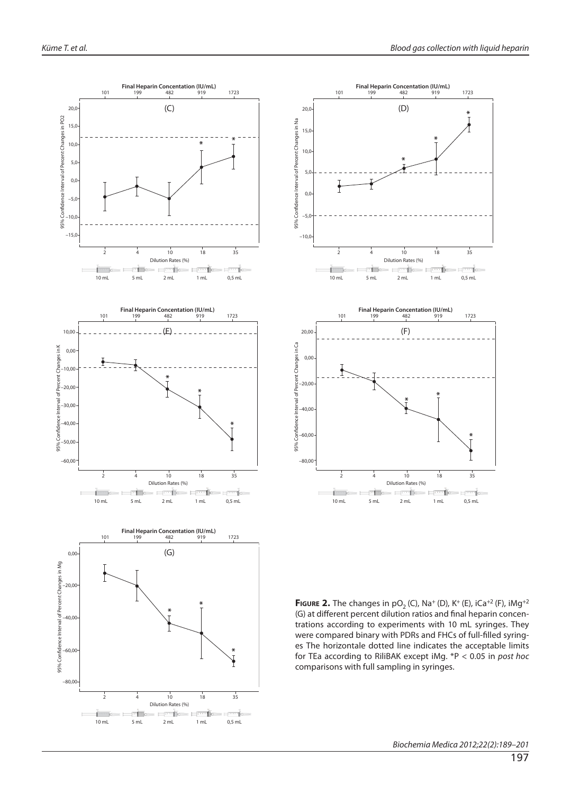



**FIGURE 2.** The changes in  $pO_2$  (C), Na<sup>+</sup> (D), K<sup>+</sup> (E), iCa<sup>+2</sup> (F), iMg<sup>+2</sup> (G) at different percent dilution ratios and final heparin concentrations according to experiments with 10 mL syringes. They were compared binary with PDRs and FHCs of full-filled syringes The horizontale dotted line indicates the acceptable limits for TEa according to RiliBAK except iMg. \*P < 0.05 in post hoc comparisons with full sampling in syringes.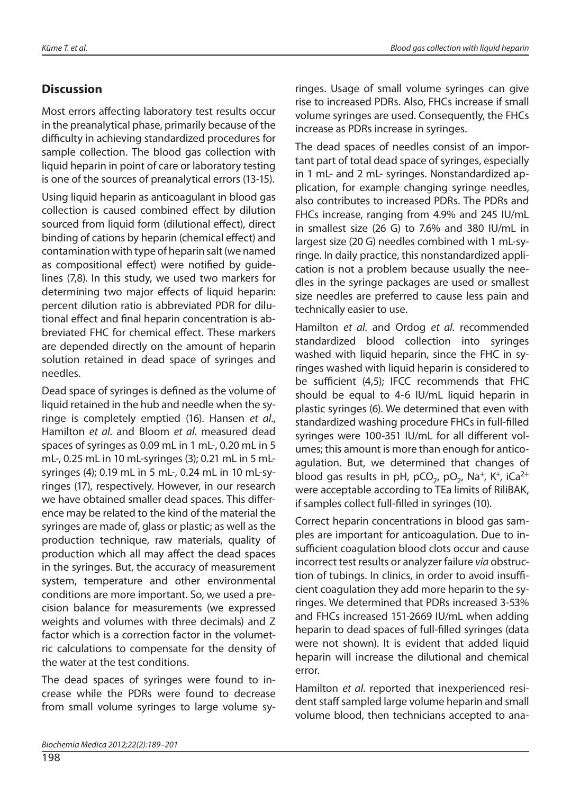# **Discussion**

Most errors affecting laboratory test results occur in the preanalytical phase, primarily because of the difficulty in achieving standardized procedures for sample collection. The blood gas collection with liquid heparin in point of care or laboratory testing is one of the sources of preanalytical errors (13-15).

Using liquid heparin as anticoagulant in blood gas collection is caused combined effect by dilution sourced from liquid form (dilutional effect), direct binding of cations by heparin (chemical effect) and contamination with type of heparin salt (we named as compositional effect) were notified by quidelines (7,8). In this study, we used two markers for determining two major effects of liquid heparin: percent dilution ratio is abbreviated PDR for dilutional effect and final heparin concentration is abbreviated FHC for chemical effect. These markers are depended directly on the amount of heparin solution retained in dead space of syringes and needles.

Dead space of syringes is defined as the volume of liquid retained in the hub and needle when the syringe is completely emptied (16). Hansen et al., Hamilton et al. and Bloom et al. measured dead spaces of syringes as 0.09 mL in 1 mL-, 0.20 mL in 5 mL-, 0.25 mL in 10 mL-syringes (3); 0.21 mL in 5 mLsyringes (4); 0.19 mL in 5 mL-, 0.24 mL in 10 mL-syringes (17), respectively. However, in our research we have obtained smaller dead spaces. This difference may be related to the kind of the material the syringes are made of, glass or plastic; as well as the production technique, raw materials, quality of production which all may affect the dead spaces in the syringes. But, the accuracy of measurement system, temperature and other environmental conditions are more important. So, we used a precision balance for measurements (we expressed weights and volumes with three decimals) and Z factor which is a correction factor in the volumetric calculations to compensate for the density of the water at the test conditions.

The dead spaces of syringes were found to increase while the PDRs were found to decrease from small volume syringes to large volume syringes. Usage of small volume syringes can give rise to increased PDRs. Also, FHCs increase if small volume syringes are used. Consequently, the FHCs increase as PDRs increase in syringes.

The dead spaces of needles consist of an important part of total dead space of syringes, especially in 1 mL- and 2 mL- syringes. Nonstandardized application, for example changing syringe needles, also contributes to increased PDRs. The PDRs and FHCs increase, ranging from 4.9% and 245 IU/mL in smallest size (26 G) to 7.6% and 380 IU/mL in largest size (20 G) needles combined with 1 mL-syringe. In daily practice, this nonstandardized application is not a problem because usually the needles in the syringe packages are used or smallest size needles are preferred to cause less pain and technically easier to use.

Hamilton et al. and Ordog et al. recommended standardized blood collection into syringes washed with liquid heparin, since the FHC in syringes washed with liquid heparin is considered to be sufficient (4,5); IFCC recommends that FHC should be equal to 4-6 IU/mL liquid heparin in plastic syringes (6). We determined that even with standardized washing procedure FHCs in full-filled syringes were 100-351 IU/mL for all different volumes; this amount is more than enough for anticoagulation. But, we determined that changes of blood gas results in pH, pCO<sub>2</sub>, pO<sub>2</sub>, Na<sup>+</sup>, K<sup>+</sup>, iCa<sup>2+</sup> were acceptable according to TEa limits of RiliBAK, if samples collect full-filled in syringes (10).

Correct heparin concentrations in blood gas samples are important for anticoagulation. Due to insufficient coagulation blood clots occur and cause incorrect test results or analyzer failure via obstruction of tubings. In clinics, in order to avoid insufficient coagulation they add more heparin to the syringes. We determined that PDRs increased 3-53% and FHCs increased 151-2669 IU/mL when adding heparin to dead spaces of full-filled syringes (data were not shown). It is evident that added liquid heparin will increase the dilutional and chemical error.

Hamilton et al. reported that inexperienced resident staff sampled large volume heparin and small volume blood, then technicians accepted to ana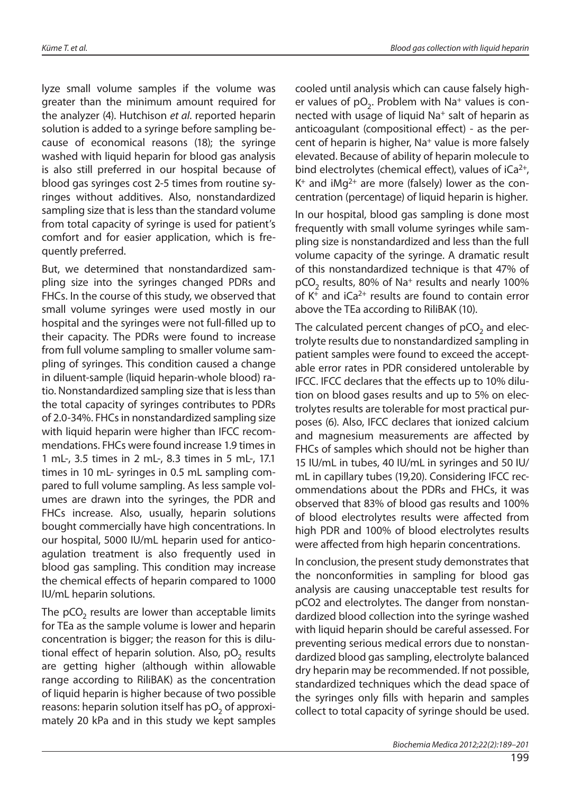lyze small volume samples if the volume was greater than the minimum amount required for the analyzer (4). Hutchison et al. reported heparin solution is added to a syringe before sampling because of economical reasons (18); the syringe washed with liquid heparin for blood gas analysis is also still preferred in our hospital because of blood gas syringes cost 2-5 times from routine syringes without additives. Also, nonstandardized sampling size that is less than the standard volume from total capacity of syringe is used for patient's comfort and for easier application, which is frequently preferred.

But, we determined that nonstandardized sampling size into the syringes changed PDRs and FHCs. In the course of this study, we observed that small volume syringes were used mostly in our hospital and the syringes were not full-filled up to their capacity. The PDRs were found to increase from full volume sampling to smaller volume sampling of syringes. This condition caused a change in diluent-sample (liquid heparin-whole blood) ratio. Nonstandardized sampling size that is less than the total capacity of syringes contributes to PDRs of 2.0-34%. FHCs in nonstandardized sampling size with liquid heparin were higher than IFCC recommendations. FHCs were found increase 1.9 times in 1 mL-, 3.5 times in 2 mL-, 8.3 times in 5 mL-, 17.1 times in 10 mL- syringes in 0.5 mL sampling compared to full volume sampling. As less sample volumes are drawn into the syringes, the PDR and FHCs increase. Also, usually, heparin solutions bought commercially have high concentrations. In our hospital, 5000 IU/mL heparin used for anticoagulation treatment is also frequently used in blood gas sampling. This condition may increase the chemical effects of heparin compared to 1000 IU/mL heparin solutions.

The  $pCO<sub>2</sub>$  results are lower than acceptable limits for TEa as the sample volume is lower and heparin concentration is bigger; the reason for this is dilutional effect of heparin solution. Also,  $pO<sub>2</sub>$  results are getting higher (although within allowable range according to RiliBAK) as the concentration of liquid heparin is higher because of two possible reasons: heparin solution itself has  $pO<sub>2</sub>$  of approximately 20 kPa and in this study we kept samples cooled until analysis which can cause falsely higher values of  $pO<sub>2</sub>$ . Problem with Na<sup>+</sup> values is connected with usage of liquid Na<sup>+</sup> salt of heparin as anticoagulant (compositional effect) - as the percent of heparin is higher, Na+ value is more falsely elevated. Because of ability of heparin molecule to bind electrolytes (chemical effect), values of  $iCa^{2+}$ ,  $K^+$  and iMg<sup>2+</sup> are more (falsely) lower as the concentration (percentage) of liquid heparin is higher.

In our hospital, blood gas sampling is done most frequently with small volume syringes while sampling size is nonstandardized and less than the full volume capacity of the syringe. A dramatic result of this nonstandardized technique is that 47% of pCO2 results, 80% of Na+ results and nearly 100% of  $K^+$  and  $iCa^{2+}$  results are found to contain error above the TEa according to RiliBAK (10).

The calculated percent changes of  $pCO<sub>2</sub>$  and electrolyte results due to nonstandardized sampling in patient samples were found to exceed the acceptable error rates in PDR considered untolerable by IFCC. IFCC declares that the effects up to 10% dilution on blood gases results and up to 5% on electrolytes results are tolerable for most practical purposes (6). Also, IFCC declares that ionized calcium and magnesium measurements are affected by FHCs of samples which should not be higher than 15 IU/mL in tubes, 40 IU/mL in syringes and 50 IU/ mL in capillary tubes (19,20). Considering IFCC recommendations about the PDRs and FHCs, it was observed that 83% of blood gas results and 100% of blood electrolytes results were affected from high PDR and 100% of blood electrolytes results were affected from high heparin concentrations.

In conclusion, the present study demonstrates that the nonconformities in sampling for blood gas analysis are causing unacceptable test results for pCO2 and electrolytes. The danger from nonstandardized blood collection into the syringe washed with liquid heparin should be careful assessed. For preventing serious medical errors due to nonstandardized blood gas sampling, electrolyte balanced dry heparin may be recommended. If not possible, standardized techniques which the dead space of the syringes only fills with heparin and samples collect to total capacity of syringe should be used.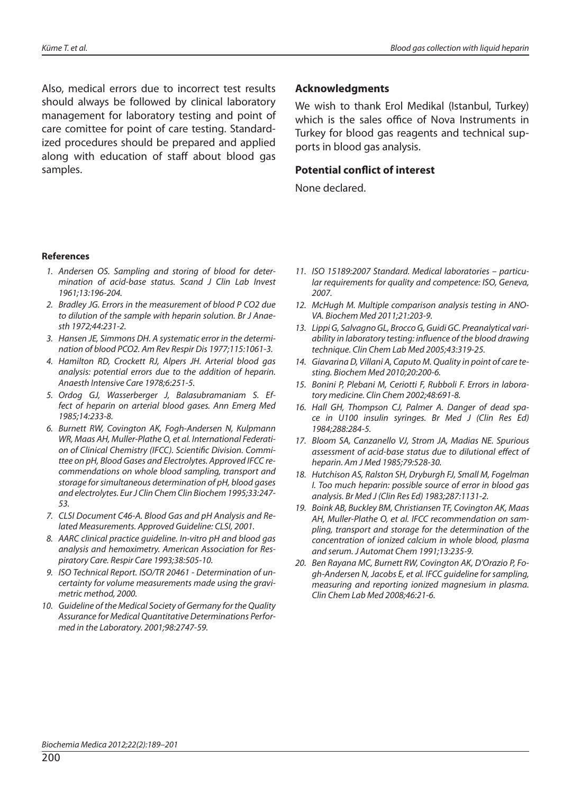Also, medical errors due to incorrect test results should always be followed by clinical laboratory management for laboratory testing and point of care comittee for point of care testing. Standardized procedures should be prepared and applied along with education of staff about blood gas samples.

#### **Acknowledgments**

We wish to thank Erol Medikal (Istanbul, Turkey) which is the sales office of Nova Instruments in Turkey for blood gas reagents and technical supports in blood gas analysis.

#### **Potential conflict of interest**

None declared.

#### **References**

- 1. Andersen OS. Sampling and storing of blood for determination of acid-base status. Scand J Clin Lab Invest 1961;13:196-204.
- 2. Bradley JG. Errors in the measurement of blood P CO2 due to dilution of the sample with heparin solution. Br J Anaesth 1972;44:231-2.
- 3. Hansen JE, Simmons DH. A systematic error in the determination of blood PCO2. Am Rev Respir Dis 1977;115:1061-3.
- 4. Hamilton RD, Crockett RJ, Alpers JH. Arterial blood gas analysis: potential errors due to the addition of heparin. Anaesth Intensive Care 1978;6:251-5.
- 5. Ordog GJ, Wasserberger J, Balasubramaniam S. Effect of heparin on arterial blood gases. Ann Emerg Med 1985;14:233-8.
- 6. Burnett RW, Covington AK, Fogh-Andersen N, Kulpmann WR, Maas AH, Muller-Plathe O, et al. International Federation of Clinical Chemistry (IFCC). Scientific Division. Committee on pH, Blood Gases and Electrolytes. Approved IFCC recommendations on whole blood sampling, transport and storage for simultaneous determination of pH, blood gases and electrolytes. Eur J Clin Chem Clin Biochem 1995;33:247- 53.
- 7. CLSI Document C46-A. Blood Gas and pH Analysis and Related Measurements. Approved Guideline: CLSI, 2001.
- 8. AARC clinical practice guideline. In-vitro pH and blood gas analysis and hemoximetry. American Association for Respiratory Care. Respir Care 1993;38:505-10.
- 9. ISO Technical Report. ISO/TR 20461 Determination of uncertainty for volume measurements made using the gravimetric method, 2000.
- 10. Guideline of the Medical Society of Germany for the Quality Assurance for Medical Quantitative Determinations Performed in the Laboratory. 2001;98:2747-59.
- 11. ISO 15189:2007 Standard. Medical laboratories particular requirements for quality and competence: ISO, Geneva, 2007.
- 12. McHugh M. Multiple comparison analysis testing in ANO-VA. Biochem Med 2011;21:203-9.
- 13. Lippi G, Salvagno GL, Brocco G, Guidi GC. Preanalytical variability in laboratory testing: influence of the blood drawing technique. Clin Chem Lab Med 2005;43:319-25.
- 14. Giavarina D, Villani A, Caputo M. Quality in point of care testing. Biochem Med 2010;20:200-6.
- 15. Bonini P, Plebani M, Ceriotti F, Rubboli F. Errors in laboratory medicine. Clin Chem 2002;48:691-8.
- 16. Hall GH, Thompson CJ, Palmer A. Danger of dead space in U100 insulin syringes. Br Med J (Clin Res Ed) 1984;288:284-5.
- 17. Bloom SA, Canzanello VJ, Strom JA, Madias NE. Spurious assessment of acid-base status due to dilutional effect of heparin. Am J Med 1985;79:528-30.
- 18. Hutchison AS, Ralston SH, Dryburgh FJ, Small M, Fogelman I. Too much heparin: possible source of error in blood gas analysis. Br Med J (Clin Res Ed) 1983;287:1131-2.
- 19. Boink AB, Buckley BM, Christiansen TF, Covington AK, Maas AH, Muller-Plathe O, et al. IFCC recommendation on sampling, transport and storage for the determination of the concentration of ionized calcium in whole blood, plasma and serum. J Automat Chem 1991;13:235-9.
- 20. Ben Rayana MC, Burnett RW, Covington AK, D'Orazio P, Fogh-Andersen N, Jacobs E, et al. IFCC guideline for sampling, measuring and reporting ionized magnesium in plasma. Clin Chem Lab Med 2008;46:21-6.